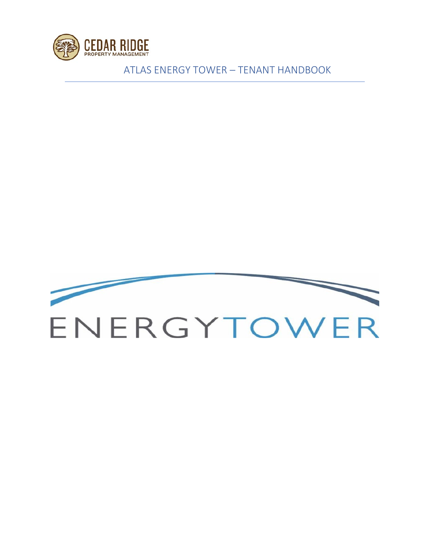

ATLAS ENERGY TOWER – TENANT HANDBOOK

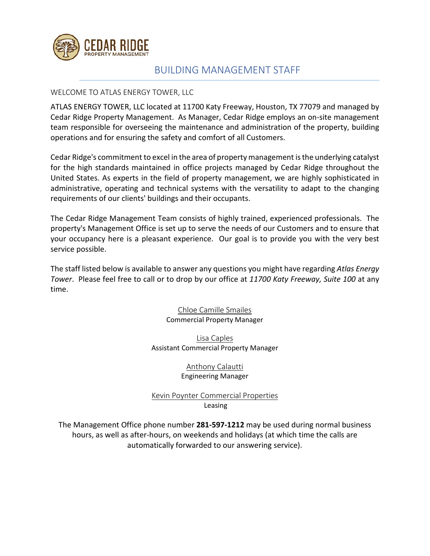

### BUILDING MANAGEMENT STAFF

#### WELCOME TO ATLAS ENERGY TOWER, LLC

ATLAS ENERGY TOWER, LLC located at 11700 Katy Freeway, Houston, TX 77079 and managed by Cedar Ridge Property Management. As Manager, Cedar Ridge employs an on-site management team responsible for overseeing the maintenance and administration of the property, building operations and for ensuring the safety and comfort of all Customers.

Cedar Ridge's commitment to excel in the area of property management is the underlying catalyst for the high standards maintained in office projects managed by Cedar Ridge throughout the United States. As experts in the field of property management, we are highly sophisticated in administrative, operating and technical systems with the versatility to adapt to the changing requirements of our clients' buildings and their occupants.

The Cedar Ridge Management Team consists of highly trained, experienced professionals. The property's Management Office is set up to serve the needs of our Customers and to ensure that your occupancy here is a pleasant experience. Our goal is to provide you with the very best service possible.

The staff listed below is available to answer any questions you might have regarding *Atlas Energy Tower*. Please feel free to call or to drop by our office at *11700 Katy Freeway, Suite 100* at any time.

> Chloe Camille Smailes Commercial Property Manager

Lisa Caples Assistant Commercial Property Manager

> Anthony Calautti Engineering Manager

Kevin Poynter Commercial Properties Leasing

The Management Office phone number **281-597-1212** may be used during normal business hours, as well as after-hours, on weekends and holidays (at which time the calls are automatically forwarded to our answering service).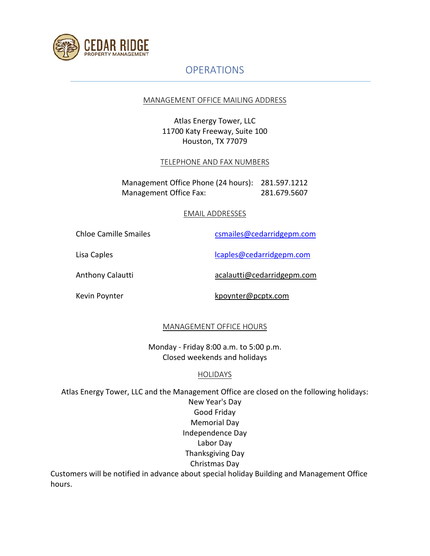

hours.

## **OPERATIONS**

#### MANAGEMENT OFFICE MAILING ADDRESS

Atlas Energy Tower, LLC 11700 Katy Freeway, Suite 100 Houston, TX 77079

#### TELEPHONE AND FAX NUMBERS

Management Office Phone (24 hours): 281.597.1212 Management Office Fax: 281.679.5607

#### EMAIL ADDRESSES

| Chloe Camille Smailes | csmailes@cedarridgepm.com  |
|-----------------------|----------------------------|
| Lisa Caples           | lcaples@cedarridgepm.com   |
| Anthony Calautti      | acalautti@cedarridgepm.com |
| Kevin Poynter         | kpoynter@pcptx.com         |

### MANAGEMENT OFFICE HOURS

Monday - Friday 8:00 a.m. to 5:00 p.m. Closed weekends and holidays

### HOLIDAYS

Atlas Energy Tower, LLC and the Management Office are closed on the following holidays: New Year's Day Good Friday Memorial Day Independence Day Labor Day Thanksgiving Day Christmas Day Customers will be notified in advance about special holiday Building and Management Office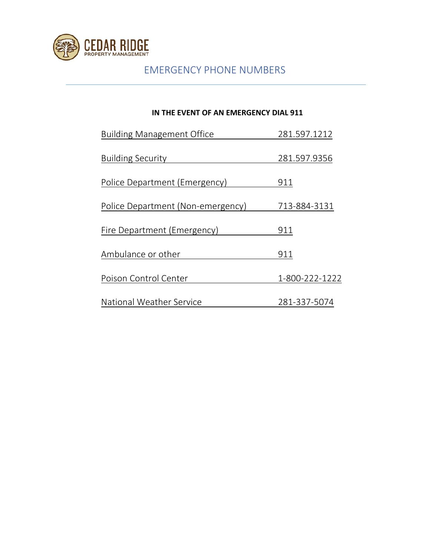

# EMERGENCY PHONE NUMBERS

### **IN THE EVENT OF AN EMERGENCY DIAL 911**

| <b>Building Management Office</b> | 281.597.1212   |
|-----------------------------------|----------------|
| <b>Building Security</b>          | 281.597.9356   |
| Police Department (Emergency)     | 911            |
| Police Department (Non-emergency) | 713-884-3131   |
| Fire Department (Emergency)       | 911            |
| Ambulance or other                | 911            |
| Poison Control Center             | 1-800-222-1222 |
| National Weather Service          | 281-337-5074   |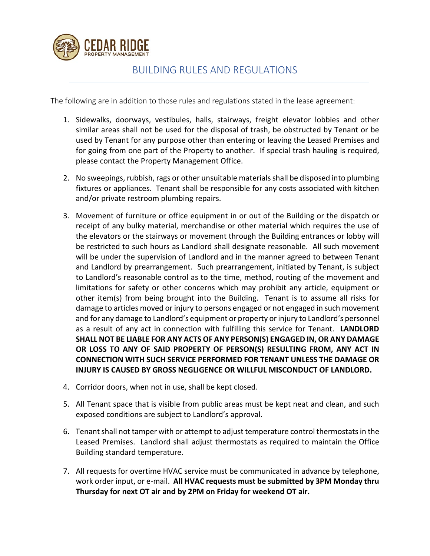

### BUILDING RULES AND REGULATIONS

The following are in addition to those rules and regulations stated in the lease agreement:

- 1. Sidewalks, doorways, vestibules, halls, stairways, freight elevator lobbies and other similar areas shall not be used for the disposal of trash, be obstructed by Tenant or be used by Tenant for any purpose other than entering or leaving the Leased Premises and for going from one part of the Property to another. If special trash hauling is required, please contact the Property Management Office.
- 2. No sweepings, rubbish, rags or other unsuitable materials shall be disposed into plumbing fixtures or appliances. Tenant shall be responsible for any costs associated with kitchen and/or private restroom plumbing repairs.
- 3. Movement of furniture or office equipment in or out of the Building or the dispatch or receipt of any bulky material, merchandise or other material which requires the use of the elevators or the stairways or movement through the Building entrances or lobby will be restricted to such hours as Landlord shall designate reasonable. All such movement will be under the supervision of Landlord and in the manner agreed to between Tenant and Landlord by prearrangement. Such prearrangement, initiated by Tenant, is subject to Landlord's reasonable control as to the time, method, routing of the movement and limitations for safety or other concerns which may prohibit any article, equipment or other item(s) from being brought into the Building. Tenant is to assume all risks for damage to articles moved or injury to persons engaged or not engaged in such movement and for any damage to Landlord's equipment or property or injury to Landlord's personnel as a result of any act in connection with fulfilling this service for Tenant. **LANDLORD SHALL NOT BE LIABLE FOR ANY ACTS OF ANY PERSON(S) ENGAGED IN, OR ANY DAMAGE OR LOSS TO ANY OF SAID PROPERTY OF PERSON(S) RESULTING FROM, ANY ACT IN CONNECTION WITH SUCH SERVICE PERFORMED FOR TENANT UNLESS THE DAMAGE OR INJURY IS CAUSED BY GROSS NEGLIGENCE OR WILLFUL MISCONDUCT OF LANDLORD.**
- 4. Corridor doors, when not in use, shall be kept closed.
- 5. All Tenant space that is visible from public areas must be kept neat and clean, and such exposed conditions are subject to Landlord's approval.
- 6. Tenant shall not tamper with or attempt to adjust temperature control thermostats in the Leased Premises. Landlord shall adjust thermostats as required to maintain the Office Building standard temperature.
- 7. All requests for overtime HVAC service must be communicated in advance by telephone, work order input, or e-mail. **All HVAC requests must be submitted by 3PM Monday thru Thursday for next OT air and by 2PM on Friday for weekend OT air.**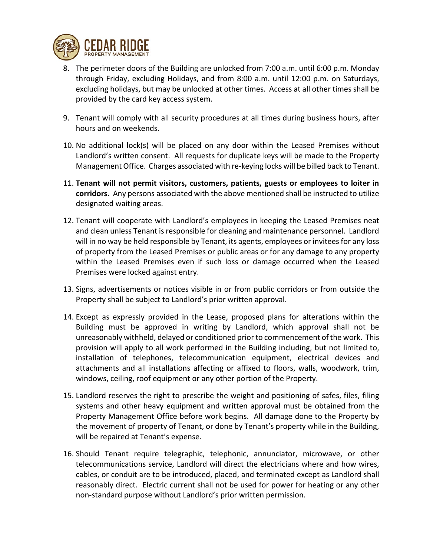

- 8. The perimeter doors of the Building are unlocked from 7:00 a.m. until 6:00 p.m. Monday through Friday, excluding Holidays, and from 8:00 a.m. until 12:00 p.m. on Saturdays, excluding holidays, but may be unlocked at other times. Access at all other times shall be provided by the card key access system.
- 9. Tenant will comply with all security procedures at all times during business hours, after hours and on weekends.
- 10. No additional lock(s) will be placed on any door within the Leased Premises without Landlord's written consent. All requests for duplicate keys will be made to the Property Management Office. Charges associated with re-keying locks will be billed back to Tenant.
- 11. **Tenant will not permit visitors, customers, patients, guests or employees to loiter in corridors.** Any persons associated with the above mentioned shall be instructed to utilize designated waiting areas.
- 12. Tenant will cooperate with Landlord's employees in keeping the Leased Premises neat and clean unless Tenant is responsible for cleaning and maintenance personnel. Landlord will in no way be held responsible by Tenant, its agents, employees or invitees for any loss of property from the Leased Premises or public areas or for any damage to any property within the Leased Premises even if such loss or damage occurred when the Leased Premises were locked against entry.
- 13. Signs, advertisements or notices visible in or from public corridors or from outside the Property shall be subject to Landlord's prior written approval.
- 14. Except as expressly provided in the Lease, proposed plans for alterations within the Building must be approved in writing by Landlord, which approval shall not be unreasonably withheld, delayed or conditioned prior to commencement of the work. This provision will apply to all work performed in the Building including, but not limited to, installation of telephones, telecommunication equipment, electrical devices and attachments and all installations affecting or affixed to floors, walls, woodwork, trim, windows, ceiling, roof equipment or any other portion of the Property.
- 15. Landlord reserves the right to prescribe the weight and positioning of safes, files, filing systems and other heavy equipment and written approval must be obtained from the Property Management Office before work begins. All damage done to the Property by the movement of property of Tenant, or done by Tenant's property while in the Building, will be repaired at Tenant's expense.
- 16. Should Tenant require telegraphic, telephonic, annunciator, microwave, or other telecommunications service, Landlord will direct the electricians where and how wires, cables, or conduit are to be introduced, placed, and terminated except as Landlord shall reasonably direct. Electric current shall not be used for power for heating or any other non-standard purpose without Landlord's prior written permission.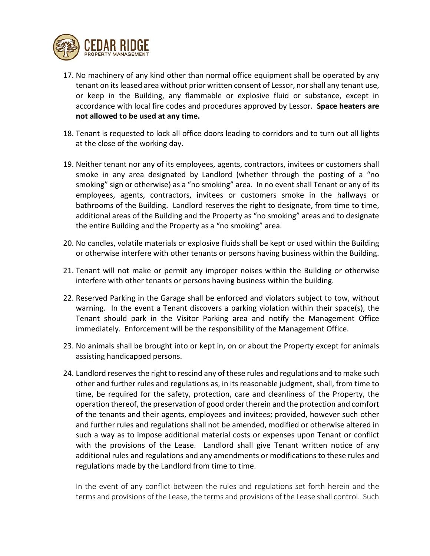

- 17. No machinery of any kind other than normal office equipment shall be operated by any tenant on its leased area without prior written consent of Lessor, nor shall any tenant use, or keep in the Building, any flammable or explosive fluid or substance, except in accordance with local fire codes and procedures approved by Lessor. **Space heaters are not allowed to be used at any time.**
- 18. Tenant is requested to lock all office doors leading to corridors and to turn out all lights at the close of the working day.
- 19. Neither tenant nor any of its employees, agents, contractors, invitees or customers shall smoke in any area designated by Landlord (whether through the posting of a "no smoking" sign or otherwise) as a "no smoking" area. In no event shall Tenant or any of its employees, agents, contractors, invitees or customers smoke in the hallways or bathrooms of the Building. Landlord reserves the right to designate, from time to time, additional areas of the Building and the Property as "no smoking" areas and to designate the entire Building and the Property as a "no smoking" area.
- 20. No candles, volatile materials or explosive fluids shall be kept or used within the Building or otherwise interfere with other tenants or persons having business within the Building.
- 21. Tenant will not make or permit any improper noises within the Building or otherwise interfere with other tenants or persons having business within the building.
- 22. Reserved Parking in the Garage shall be enforced and violators subject to tow, without warning. In the event a Tenant discovers a parking violation within their space(s), the Tenant should park in the Visitor Parking area and notify the Management Office immediately. Enforcement will be the responsibility of the Management Office.
- 23. No animals shall be brought into or kept in, on or about the Property except for animals assisting handicapped persons.
- 24. Landlord reserves the right to rescind any of these rules and regulations and to make such other and further rules and regulations as, in its reasonable judgment, shall, from time to time, be required for the safety, protection, care and cleanliness of the Property, the operation thereof, the preservation of good order therein and the protection and comfort of the tenants and their agents, employees and invitees; provided, however such other and further rules and regulations shall not be amended, modified or otherwise altered in such a way as to impose additional material costs or expenses upon Tenant or conflict with the provisions of the Lease. Landlord shall give Tenant written notice of any additional rules and regulations and any amendments or modifications to these rules and regulations made by the Landlord from time to time.

In the event of any conflict between the rules and regulations set forth herein and the terms and provisions of the Lease, the terms and provisions of the Lease shall control. Such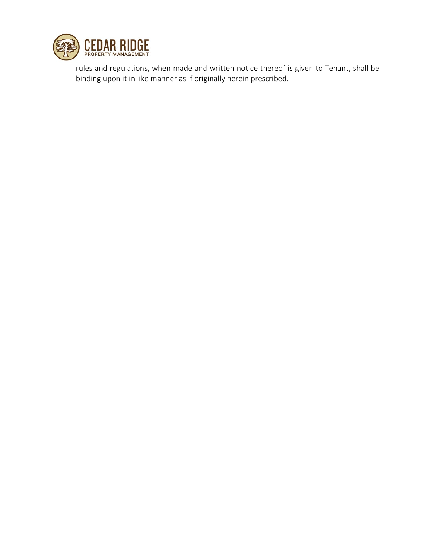

rules and regulations, when made and written notice thereof is given to Tenant, shall be binding upon it in like manner as if originally herein prescribed.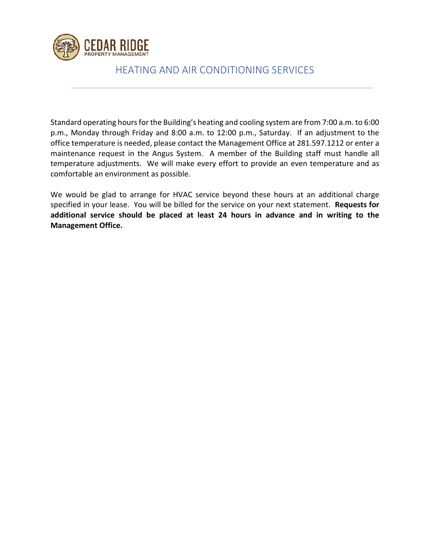

### HEATING AND AIR CONDITIONING SERVICES

Standard operating hours for the Building's heating and cooling system are from 7:00 a.m. to 6:00 p.m., Monday through Friday and 8:00 a.m. to 12:00 p.m., Saturday. If an adjustment to the office temperature is needed, please contact the Management Office at 281.597.1212 or enter a maintenance request in the Angus System. A member of the Building staff must handle all temperature adjustments. We will make every effort to provide an even temperature and as comfortable an environment as possible.

We would be glad to arrange for HVAC service beyond these hours at an additional charge specified in your lease. You will be billed for the service on your next statement. **Requests for additional service should be placed at least 24 hours in advance and in writing to the Management Office.**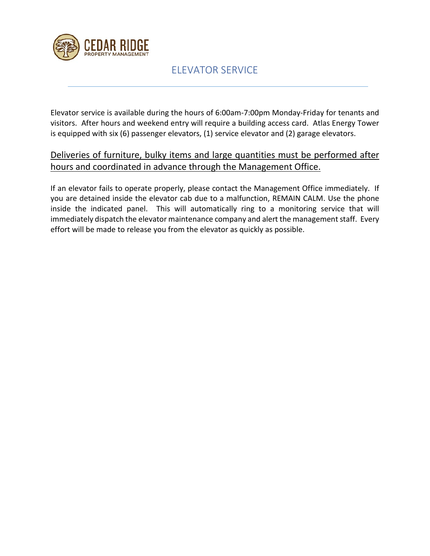

# ELEVATOR SERVICE

Elevator service is available during the hours of 6:00am-7:00pm Monday-Friday for tenants and visitors. After hours and weekend entry will require a building access card. Atlas Energy Tower is equipped with six (6) passenger elevators, (1) service elevator and (2) garage elevators.

### Deliveries of furniture, bulky items and large quantities must be performed after hours and coordinated in advance through the Management Office.

If an elevator fails to operate properly, please contact the Management Office immediately. If you are detained inside the elevator cab due to a malfunction, REMAIN CALM. Use the phone inside the indicated panel. This will automatically ring to a monitoring service that will immediately dispatch the elevator maintenance company and alert the management staff. Every effort will be made to release you from the elevator as quickly as possible.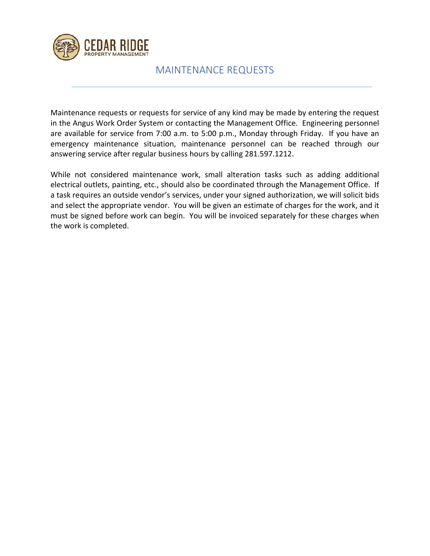

### MAINTENANCE REQUESTS

Maintenance requests or requests for service of any kind may be made by entering the request in the Angus Work Order System or contacting the Management Office. Engineering personnel are available for service from 7:00 a.m. to 5:00 p.m., Monday through Friday. If you have an emergency maintenance situation, maintenance personnel can be reached through our answering service after regular business hours by calling 281.597.1212.

While not considered maintenance work, small alteration tasks such as adding additional electrical outlets, painting, etc., should also be coordinated through the Management Office. If a task requires an outside vendor's services, under your signed authorization, we will solicit bids and select the appropriate vendor. You will be given an estimate of charges for the work, and it must be signed before work can begin. You will be invoiced separately for these charges when the work is completed.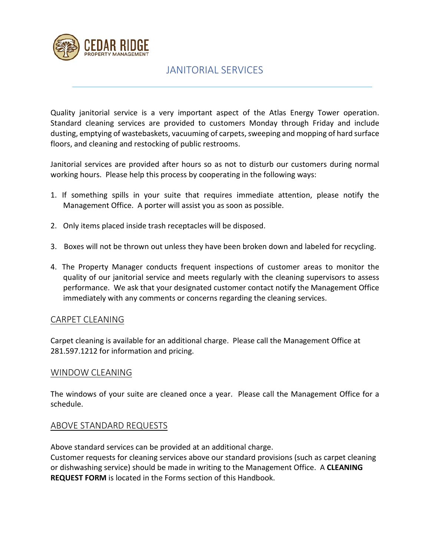

### JANITORIAL SERVICES

Quality janitorial service is a very important aspect of the Atlas Energy Tower operation. Standard cleaning services are provided to customers Monday through Friday and include dusting, emptying of wastebaskets, vacuuming of carpets, sweeping and mopping of hard surface floors, and cleaning and restocking of public restrooms.

Janitorial services are provided after hours so as not to disturb our customers during normal working hours. Please help this process by cooperating in the following ways:

- 1. If something spills in your suite that requires immediate attention, please notify the Management Office. A porter will assist you as soon as possible.
- 2. Only items placed inside trash receptacles will be disposed.
- 3. Boxes will not be thrown out unless they have been broken down and labeled for recycling.
- 4. The Property Manager conducts frequent inspections of customer areas to monitor the quality of our janitorial service and meets regularly with the cleaning supervisors to assess performance. We ask that your designated customer contact notify the Management Office immediately with any comments or concerns regarding the cleaning services.

### CARPET CLEANING

Carpet cleaning is available for an additional charge. Please call the Management Office at 281.597.1212 for information and pricing.

#### WINDOW CLEANING

The windows of your suite are cleaned once a year. Please call the Management Office for a schedule.

### ABOVE STANDARD REQUESTS

Above standard services can be provided at an additional charge.

Customer requests for cleaning services above our standard provisions (such as carpet cleaning or dishwashing service) should be made in writing to the Management Office. A **CLEANING REQUEST FORM** is located in the Forms section of this Handbook.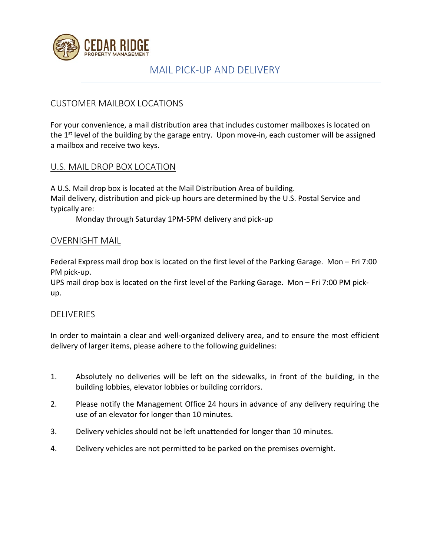

### MAIL PICK-UP AND DELIVERY

### CUSTOMER MAILBOX LOCATIONS

For your convenience, a mail distribution area that includes customer mailboxes is located on the 1<sup>st</sup> level of the building by the garage entry. Upon move-in, each customer will be assigned a mailbox and receive two keys.

### U.S. MAIL DROP BOX LOCATION

A U.S. Mail drop box is located at the Mail Distribution Area of building. Mail delivery, distribution and pick-up hours are determined by the U.S. Postal Service and typically are:

Monday through Saturday 1PM-5PM delivery and pick-up

### OVERNIGHT MAIL

Federal Express mail drop box is located on the first level of the Parking Garage. Mon – Fri 7:00 PM pick-up.

UPS mail drop box is located on the first level of the Parking Garage. Mon – Fri 7:00 PM pickup.

### **DELIVERIES**

In order to maintain a clear and well-organized delivery area, and to ensure the most efficient delivery of larger items, please adhere to the following guidelines:

- 1. Absolutely no deliveries will be left on the sidewalks, in front of the building, in the building lobbies, elevator lobbies or building corridors.
- 2. Please notify the Management Office 24 hours in advance of any delivery requiring the use of an elevator for longer than 10 minutes.
- 3. Delivery vehicles should not be left unattended for longer than 10 minutes.
- 4. Delivery vehicles are not permitted to be parked on the premises overnight.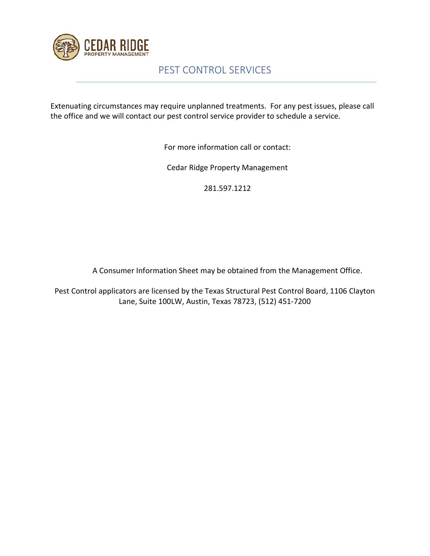

# PEST CONTROL SERVICES

Extenuating circumstances may require unplanned treatments. For any pest issues, please call the office and we will contact our pest control service provider to schedule a service.

For more information call or contact:

Cedar Ridge Property Management

281.597.1212

A Consumer Information Sheet may be obtained from the Management Office.

Pest Control applicators are licensed by the Texas Structural Pest Control Board, 1106 Clayton Lane, Suite 100LW, Austin, Texas 78723, (512) 451-7200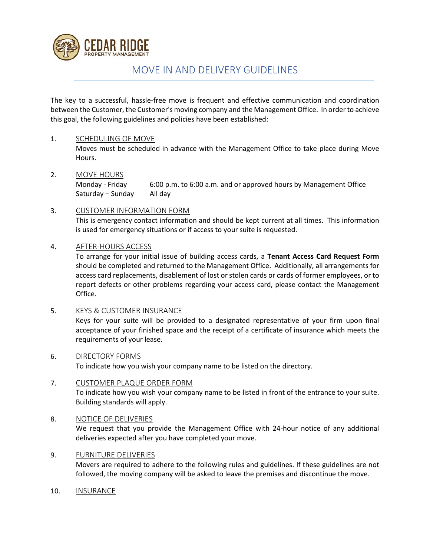

## MOVE IN AND DELIVERY GUIDELINES

The key to a successful, hassle-free move is frequent and effective communication and coordination between the Customer, the Customer's moving company and the Management Office. In order to achieve this goal, the following guidelines and policies have been established:

#### 1. SCHEDULING OF MOVE

Moves must be scheduled in advance with the Management Office to take place during Move Hours.

2. MOVE HOURS Monday - Friday 6:00 p.m. to 6:00 a.m. and or approved hours by Management Office

Saturday – Sunday All day

#### 3. CUSTOMER INFORMATION FORM

This is emergency contact information and should be kept current at all times. This information is used for emergency situations or if access to your suite is requested.

#### 4. AFTER-HOURS ACCESS

To arrange for your initial issue of building access cards, a **Tenant Access Card Request Form** should be completed and returned to the Management Office. Additionally, all arrangements for access card replacements, disablement of lost or stolen cards or cards of former employees, or to report defects or other problems regarding your access card, please contact the Management Office.

5. KEYS & CUSTOMER INSURANCE

Keys for your suite will be provided to a designated representative of your firm upon final acceptance of your finished space and the receipt of a certificate of insurance which meets the requirements of your lease.

#### 6. DIRECTORY FORMS

To indicate how you wish your company name to be listed on the directory.

#### 7. CUSTOMER PLAQUE ORDER FORM

To indicate how you wish your company name to be listed in front of the entrance to your suite. Building standards will apply.

#### 8. NOTICE OF DELIVERIES

We request that you provide the Management Office with 24-hour notice of any additional deliveries expected after you have completed your move.

#### 9. FURNITURE DELIVERIES

Movers are required to adhere to the following rules and guidelines. If these guidelines are not followed, the moving company will be asked to leave the premises and discontinue the move.

10. INSURANCE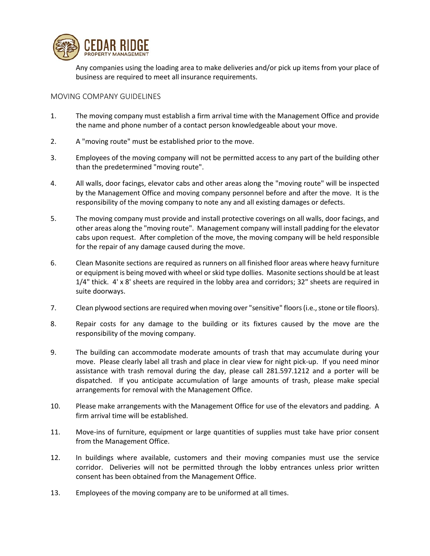

Any companies using the loading area to make deliveries and/or pick up items from your place of business are required to meet all insurance requirements.

#### MOVING COMPANY GUIDELINES

- 1. The moving company must establish a firm arrival time with the Management Office and provide the name and phone number of a contact person knowledgeable about your move.
- 2. A "moving route" must be established prior to the move.
- 3. Employees of the moving company will not be permitted access to any part of the building other than the predetermined "moving route".
- 4. All walls, door facings, elevator cabs and other areas along the "moving route" will be inspected by the Management Office and moving company personnel before and after the move. It is the responsibility of the moving company to note any and all existing damages or defects.
- 5. The moving company must provide and install protective coverings on all walls, door facings, and other areas along the "moving route". Management company will install padding for the elevator cabs upon request. After completion of the move, the moving company will be held responsible for the repair of any damage caused during the move.
- 6. Clean Masonite sections are required as runners on all finished floor areas where heavy furniture or equipment is being moved with wheel or skid type dollies. Masonite sections should be at least 1/4" thick. 4' x 8' sheets are required in the lobby area and corridors; 32" sheets are required in suite doorways.
- 7. Clean plywood sections are required when moving over "sensitive" floors (i.e., stone or tile floors).
- 8. Repair costs for any damage to the building or its fixtures caused by the move are the responsibility of the moving company.
- 9. The building can accommodate moderate amounts of trash that may accumulate during your move. Please clearly label all trash and place in clear view for night pick-up. If you need minor assistance with trash removal during the day, please call 281.597.1212 and a porter will be dispatched. If you anticipate accumulation of large amounts of trash, please make special arrangements for removal with the Management Office.
- 10. Please make arrangements with the Management Office for use of the elevators and padding. A firm arrival time will be established.
- 11. Move-ins of furniture, equipment or large quantities of supplies must take have prior consent from the Management Office.
- 12. In buildings where available, customers and their moving companies must use the service corridor. Deliveries will not be permitted through the lobby entrances unless prior written consent has been obtained from the Management Office.
- 13. Employees of the moving company are to be uniformed at all times.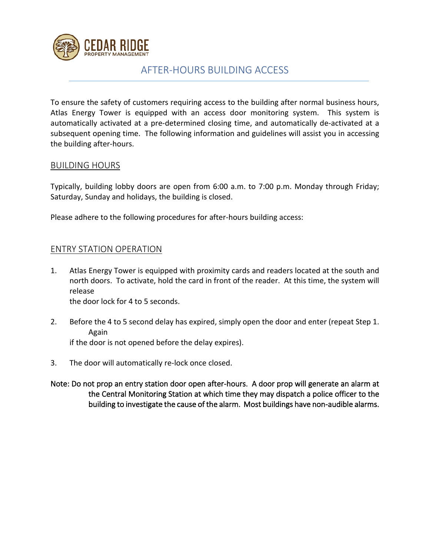

### AFTER-HOURS BUILDING ACCESS

To ensure the safety of customers requiring access to the building after normal business hours, Atlas Energy Tower is equipped with an access door monitoring system. This system is automatically activated at a pre-determined closing time, and automatically de-activated at a subsequent opening time. The following information and guidelines will assist you in accessing the building after-hours.

### BUILDING HOURS

Typically, building lobby doors are open from 6:00 a.m. to 7:00 p.m. Monday through Friday; Saturday, Sunday and holidays, the building is closed.

Please adhere to the following procedures for after-hours building access:

### ENTRY STATION OPERATION

- 1. Atlas Energy Tower is equipped with proximity cards and readers located at the south and north doors. To activate, hold the card in front of the reader. At this time, the system will release the door lock for 4 to 5 seconds.
	-
- 2. Before the 4 to 5 second delay has expired, simply open the door and enter (repeat Step 1. Again

if the door is not opened before the delay expires).

- 3. The door will automatically re-lock once closed.
- Note: Do not prop an entry station door open after-hours. A door prop will generate an alarm at the Central Monitoring Station at which time they may dispatch a police officer to the building to investigate the cause of the alarm. Most buildings have non-audible alarms.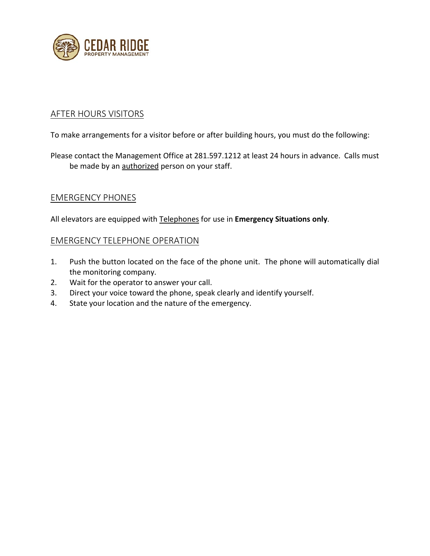

### AFTER HOURS VISITORS

To make arrangements for a visitor before or after building hours, you must do the following:

### Please contact the Management Office at 281.597.1212 at least 24 hours in advance. Calls must be made by an authorized person on your staff.

### EMERGENCY PHONES

All elevators are equipped with Telephones for use in **Emergency Situations only**.

### EMERGENCY TELEPHONE OPERATION

- 1. Push the button located on the face of the phone unit. The phone will automatically dial the monitoring company.
- 2. Wait for the operator to answer your call.
- 3. Direct your voice toward the phone, speak clearly and identify yourself.
- 4. State your location and the nature of the emergency.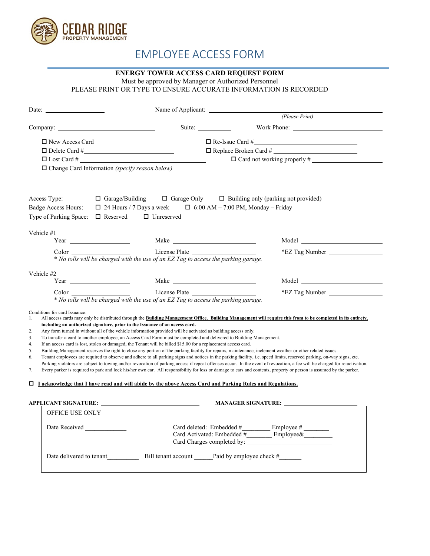

# EMPLOYEE ACCESS FORM

### **ENERGY TOWER ACCESS CARD REQUEST FORM**

Must be approved by Manager or Authorized Personnel

PLEASE PRINT OR TYPE TO ENSURE ACCURATE INFORMATION IS RECORDED

|                                                                              | Name of Applicant:                                                                                                                                                                                                                                                                                                                                                                                                                                                                                                                                 |                                                                                                                                                                                                                                                                                                                                                                                                                                                                                                                                                                                                                                                                                                                                                                                                                                                        |
|------------------------------------------------------------------------------|----------------------------------------------------------------------------------------------------------------------------------------------------------------------------------------------------------------------------------------------------------------------------------------------------------------------------------------------------------------------------------------------------------------------------------------------------------------------------------------------------------------------------------------------------|--------------------------------------------------------------------------------------------------------------------------------------------------------------------------------------------------------------------------------------------------------------------------------------------------------------------------------------------------------------------------------------------------------------------------------------------------------------------------------------------------------------------------------------------------------------------------------------------------------------------------------------------------------------------------------------------------------------------------------------------------------------------------------------------------------------------------------------------------------|
|                                                                              |                                                                                                                                                                                                                                                                                                                                                                                                                                                                                                                                                    | (Please Print)                                                                                                                                                                                                                                                                                                                                                                                                                                                                                                                                                                                                                                                                                                                                                                                                                                         |
|                                                                              | Suite: ____________                                                                                                                                                                                                                                                                                                                                                                                                                                                                                                                                | Work Phone:                                                                                                                                                                                                                                                                                                                                                                                                                                                                                                                                                                                                                                                                                                                                                                                                                                            |
| $\Box$ New Access Card                                                       |                                                                                                                                                                                                                                                                                                                                                                                                                                                                                                                                                    | $\Box$ Re-Issue Card #                                                                                                                                                                                                                                                                                                                                                                                                                                                                                                                                                                                                                                                                                                                                                                                                                                 |
|                                                                              |                                                                                                                                                                                                                                                                                                                                                                                                                                                                                                                                                    |                                                                                                                                                                                                                                                                                                                                                                                                                                                                                                                                                                                                                                                                                                                                                                                                                                                        |
| $\Box$ Lost Card #                                                           |                                                                                                                                                                                                                                                                                                                                                                                                                                                                                                                                                    | $\Box$ Card not working properly #                                                                                                                                                                                                                                                                                                                                                                                                                                                                                                                                                                                                                                                                                                                                                                                                                     |
| $\Box$ Change Card Information <i>(specify reason below)</i>                 |                                                                                                                                                                                                                                                                                                                                                                                                                                                                                                                                                    |                                                                                                                                                                                                                                                                                                                                                                                                                                                                                                                                                                                                                                                                                                                                                                                                                                                        |
| Access Type:                                                                 | $\Box$ Garage/Building                                                                                                                                                                                                                                                                                                                                                                                                                                                                                                                             | $\Box$ Garage Only $\Box$ Building only (parking not provided)                                                                                                                                                                                                                                                                                                                                                                                                                                                                                                                                                                                                                                                                                                                                                                                         |
| Badge Access Hours:                                                          | $\Box$ 24 Hours / 7 Days a week $\Box$ 6:00 AM - 7:00 PM, Monday - Friday                                                                                                                                                                                                                                                                                                                                                                                                                                                                          |                                                                                                                                                                                                                                                                                                                                                                                                                                                                                                                                                                                                                                                                                                                                                                                                                                                        |
| Type of Parking Space:<br>$\Box$ Reserved                                    | $\Box$ Unreserved                                                                                                                                                                                                                                                                                                                                                                                                                                                                                                                                  |                                                                                                                                                                                                                                                                                                                                                                                                                                                                                                                                                                                                                                                                                                                                                                                                                                                        |
|                                                                              |                                                                                                                                                                                                                                                                                                                                                                                                                                                                                                                                                    |                                                                                                                                                                                                                                                                                                                                                                                                                                                                                                                                                                                                                                                                                                                                                                                                                                                        |
| Vehicle #1                                                                   |                                                                                                                                                                                                                                                                                                                                                                                                                                                                                                                                                    |                                                                                                                                                                                                                                                                                                                                                                                                                                                                                                                                                                                                                                                                                                                                                                                                                                                        |
|                                                                              |                                                                                                                                                                                                                                                                                                                                                                                                                                                                                                                                                    | *EZ Tag Number                                                                                                                                                                                                                                                                                                                                                                                                                                                                                                                                                                                                                                                                                                                                                                                                                                         |
|                                                                              | Color License Plate<br>* No tolls will be charged with the use of an EZ Tag to access the parking garage.                                                                                                                                                                                                                                                                                                                                                                                                                                          |                                                                                                                                                                                                                                                                                                                                                                                                                                                                                                                                                                                                                                                                                                                                                                                                                                                        |
|                                                                              |                                                                                                                                                                                                                                                                                                                                                                                                                                                                                                                                                    |                                                                                                                                                                                                                                                                                                                                                                                                                                                                                                                                                                                                                                                                                                                                                                                                                                                        |
| Vehicle #2                                                                   |                                                                                                                                                                                                                                                                                                                                                                                                                                                                                                                                                    |                                                                                                                                                                                                                                                                                                                                                                                                                                                                                                                                                                                                                                                                                                                                                                                                                                                        |
| $Year \_$                                                                    |                                                                                                                                                                                                                                                                                                                                                                                                                                                                                                                                                    |                                                                                                                                                                                                                                                                                                                                                                                                                                                                                                                                                                                                                                                                                                                                                                                                                                                        |
| Color                                                                        | License Plate<br>* No tolls will be charged with the use of an EZ Tag to access the parking garage.                                                                                                                                                                                                                                                                                                                                                                                                                                                | *EZ Tag Number                                                                                                                                                                                                                                                                                                                                                                                                                                                                                                                                                                                                                                                                                                                                                                                                                                         |
| Conditions for card Issuance:<br>1.<br>2.<br>3.<br>4.<br>5.<br>6.<br>7.<br>0 | including an authorized signature, prior to the Issuance of an access card.<br>Any form turned in without all of the vehicle information provided will be activated as building access only.<br>To transfer a card to another employee, an Access Card Form must be completed and delivered to Building Management.<br>If an access card is lost, stolen or damaged, the Tenant will be billed \$15.00 for a replacement access card.<br>I acknowledge that I have read and will abide by the above Access Card and Parking Rules and Regulations. | All access cards may only be distributed through the Building Management Office. Building Management will require this from to be completed in its entirety,<br>Building Management reserves the right to close any portion of the parking facility for repairs, maintenance, inclement weather or other related issues.<br>Tenant employees are required to observe and adhere to all parking signs and notices in the parking facility, i.e. speed limits, reserved parking, on-way signs, etc.<br>Parking violators are subject to towing and/or revocation of parking access if repeat offenses occur. In the event of revocation, a fee will be charged for re-activation.<br>Every parker is required to park and lock his/her own car. All responsibility for loss or damage to cars and contents, property or person is assumed by the parker. |
|                                                                              |                                                                                                                                                                                                                                                                                                                                                                                                                                                                                                                                                    | MANAGER SIGNATURE:                                                                                                                                                                                                                                                                                                                                                                                                                                                                                                                                                                                                                                                                                                                                                                                                                                     |
| <b>OFFICE USE ONLY</b>                                                       |                                                                                                                                                                                                                                                                                                                                                                                                                                                                                                                                                    |                                                                                                                                                                                                                                                                                                                                                                                                                                                                                                                                                                                                                                                                                                                                                                                                                                                        |
|                                                                              |                                                                                                                                                                                                                                                                                                                                                                                                                                                                                                                                                    | Card deleted: Embedded #____________ Employee # _______<br>Card Activated: Embedded $#$ Employee&                                                                                                                                                                                                                                                                                                                                                                                                                                                                                                                                                                                                                                                                                                                                                      |
| Date delivered to tenant                                                     | Bill tenant account ________ Paid by employee check #                                                                                                                                                                                                                                                                                                                                                                                                                                                                                              |                                                                                                                                                                                                                                                                                                                                                                                                                                                                                                                                                                                                                                                                                                                                                                                                                                                        |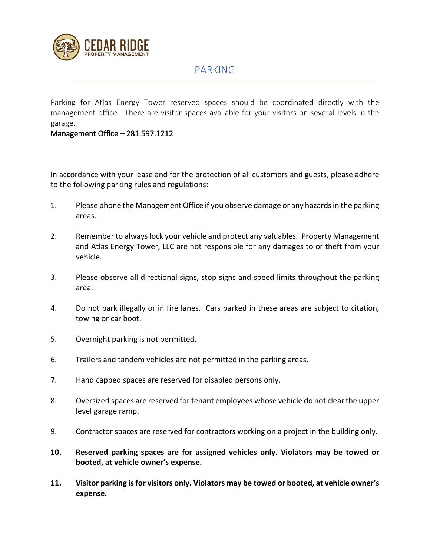

### PARKING

Parking for Atlas Energy Tower reserved spaces should be coordinated directly with the management office. There are visitor spaces available for your visitors on several levels in the garage.

#### Management Office – 281.597.1212

In accordance with your lease and for the protection of all customers and guests, please adhere to the following parking rules and regulations:

- 1. Please phone the Management Office if you observe damage or any hazards in the parking areas.
- 2. Remember to always lock your vehicle and protect any valuables. Property Management and Atlas Energy Tower, LLC are not responsible for any damages to or theft from your vehicle.
- 3. Please observe all directional signs, stop signs and speed limits throughout the parking area.
- 4. Do not park illegally or in fire lanes. Cars parked in these areas are subject to citation, towing or car boot.
- 5. Overnight parking is not permitted.
- 6. Trailers and tandem vehicles are not permitted in the parking areas.
- 7. Handicapped spaces are reserved for disabled persons only.
- 8. Oversized spaces are reserved for tenant employees whose vehicle do not clear the upper level garage ramp.
- 9. Contractor spaces are reserved for contractors working on a project in the building only.
- **10. Reserved parking spaces are for assigned vehicles only. Violators may be towed or booted, at vehicle owner's expense.**
- **11. Visitor parking isfor visitors only. Violators may be towed or booted, at vehicle owner's expense.**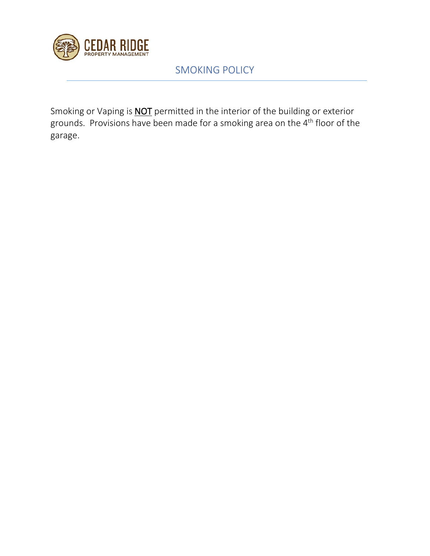

# SMOKING POLICY

Smoking or Vaping is **NOT** permitted in the interior of the building or exterior grounds. Provisions have been made for a smoking area on the 4th floor of the garage.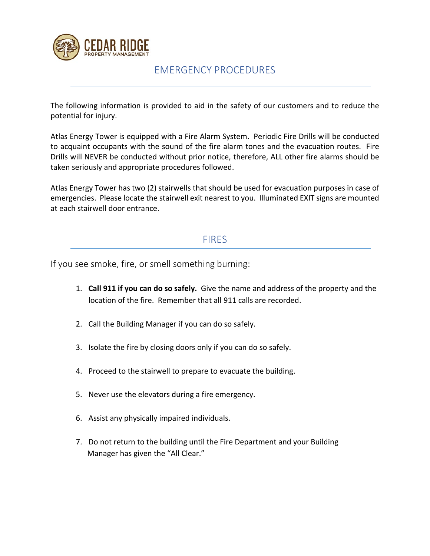

### EMERGENCY PROCEDURES

The following information is provided to aid in the safety of our customers and to reduce the potential for injury.

Atlas Energy Tower is equipped with a Fire Alarm System. Periodic Fire Drills will be conducted to acquaint occupants with the sound of the fire alarm tones and the evacuation routes. Fire Drills will NEVER be conducted without prior notice, therefore, ALL other fire alarms should be taken seriously and appropriate procedures followed.

Atlas Energy Tower has two (2) stairwells that should be used for evacuation purposes in case of emergencies. Please locate the stairwell exit nearest to you. Illuminated EXIT signs are mounted at each stairwell door entrance.

### **FIRES**

If you see smoke, fire, or smell something burning:

- 1. **Call 911 if you can do so safely.** Give the name and address of the property and the location of the fire. Remember that all 911 calls are recorded.
- 2. Call the Building Manager if you can do so safely.
- 3. Isolate the fire by closing doors only if you can do so safely.
- 4. Proceed to the stairwell to prepare to evacuate the building.
- 5. Never use the elevators during a fire emergency.
- 6. Assist any physically impaired individuals.
- 7. Do not return to the building until the Fire Department and your Building Manager has given the "All Clear."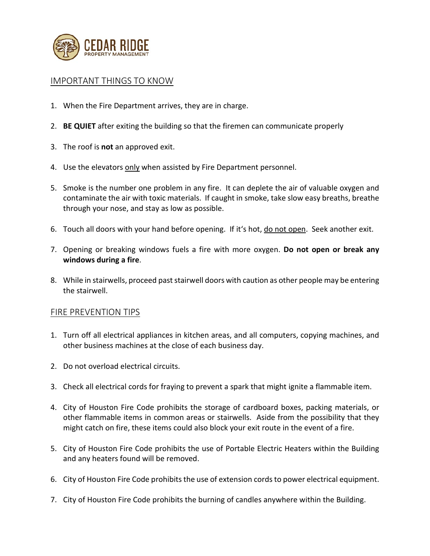

### IMPORTANT THINGS TO KNOW

- 1. When the Fire Department arrives, they are in charge.
- 2. **BE QUIET** after exiting the building so that the firemen can communicate properly
- 3. The roof is **not** an approved exit.
- 4. Use the elevators only when assisted by Fire Department personnel.
- 5. Smoke is the number one problem in any fire. It can deplete the air of valuable oxygen and contaminate the air with toxic materials. If caught in smoke, take slow easy breaths, breathe through your nose, and stay as low as possible.
- 6. Touch all doors with your hand before opening. If it's hot, do not open. Seek another exit.
- 7. Opening or breaking windows fuels a fire with more oxygen. **Do not open or break any windows during a fire**.
- 8. While in stairwells, proceed past stairwell doors with caution as other people may be entering the stairwell.

### FIRE PREVENTION TIPS

- 1. Turn off all electrical appliances in kitchen areas, and all computers, copying machines, and other business machines at the close of each business day.
- 2. Do not overload electrical circuits.
- 3. Check all electrical cords for fraying to prevent a spark that might ignite a flammable item.
- 4. City of Houston Fire Code prohibits the storage of cardboard boxes, packing materials, or other flammable items in common areas or stairwells. Aside from the possibility that they might catch on fire, these items could also block your exit route in the event of a fire.
- 5. City of Houston Fire Code prohibits the use of Portable Electric Heaters within the Building and any heaters found will be removed.
- 6. City of Houston Fire Code prohibits the use of extension cords to power electrical equipment.
- 7. City of Houston Fire Code prohibits the burning of candles anywhere within the Building.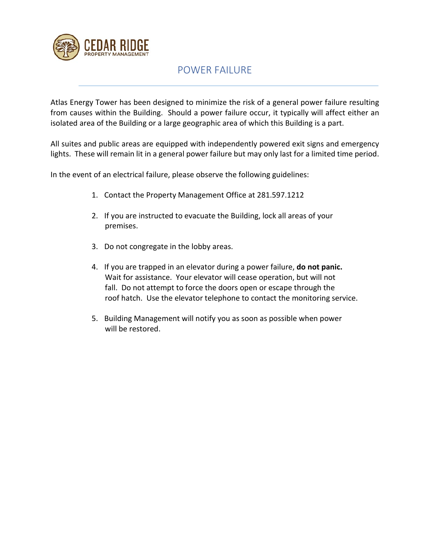

## POWER FAILURE

Atlas Energy Tower has been designed to minimize the risk of a general power failure resulting from causes within the Building. Should a power failure occur, it typically will affect either an isolated area of the Building or a large geographic area of which this Building is a part.

All suites and public areas are equipped with independently powered exit signs and emergency lights. These will remain lit in a general power failure but may only last for a limited time period.

In the event of an electrical failure, please observe the following guidelines:

- 1. Contact the Property Management Office at 281.597.1212
- 2. If you are instructed to evacuate the Building, lock all areas of your premises.
- 3. Do not congregate in the lobby areas.
- 4. If you are trapped in an elevator during a power failure, **do not panic.** Wait for assistance. Your elevator will cease operation, but will not fall. Do not attempt to force the doors open or escape through the roof hatch. Use the elevator telephone to contact the monitoring service.
- 5. Building Management will notify you as soon as possible when power will be restored.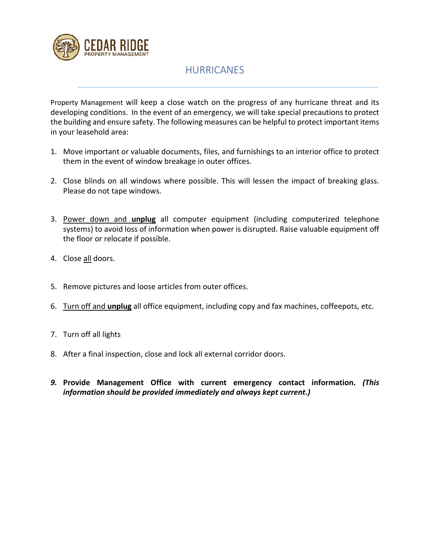

# HURRICANES

Property Management will keep a close watch on the progress of any hurricane threat and its developing conditions. In the event of an emergency, we will take special precautions to protect the building and ensure safety. The following measures can be helpful to protect important items in your leasehold area:

- 1. Move important or valuable documents, files, and furnishings to an interior office to protect them in the event of window breakage in outer offices.
- 2. Close blinds on all windows where possible. This will lessen the impact of breaking glass. Please do not tape windows.
- 3. Power down and **unplug** all computer equipment (including computerized telephone systems) to avoid loss of information when power is disrupted. Raise valuable equipment off the floor or relocate if possible.
- 4. Close all doors.
- 5. Remove pictures and loose articles from outer offices.
- 6. Turn off and **unplug** all office equipment, including copy and fax machines, coffeepots, etc.
- 7. Turn off all lights
- 8. After a final inspection, close and lock all external corridor doors.
- *9.* **Provide Management Office with current emergency contact information.** *(This information should be provided immediately and always kept current.)*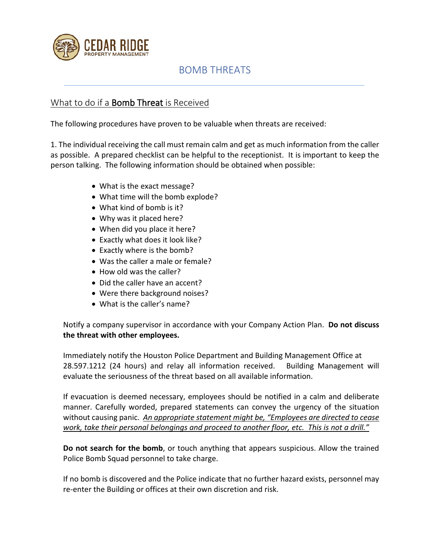

## BOMB THREATS

### What to do if a Bomb Threat is Received

The following procedures have proven to be valuable when threats are received:

1. The individual receiving the call must remain calm and get as much information from the caller as possible. A prepared checklist can be helpful to the receptionist. It is important to keep the person talking. The following information should be obtained when possible:

- What is the exact message?
- What time will the bomb explode?
- What kind of bomb is it?
- Why was it placed here?
- When did you place it here?
- Exactly what does it look like?
- Exactly where is the bomb?
- Was the caller a male or female?
- How old was the caller?
- Did the caller have an accent?
- Were there background noises?
- What is the caller's name?

Notify a company supervisor in accordance with your Company Action Plan. **Do not discuss the threat with other employees.**

Immediately notify the Houston Police Department and Building Management Office at 28.597.1212 (24 hours) and relay all information received. Building Management will evaluate the seriousness of the threat based on all available information.

If evacuation is deemed necessary, employees should be notified in a calm and deliberate manner. Carefully worded, prepared statements can convey the urgency of the situation without causing panic. *An appropriate statement might be, "Employees are directed to cease work, take their personal belongings and proceed to another floor, etc. This is not a drill."*

**Do not search for the bomb**, or touch anything that appears suspicious. Allow the trained Police Bomb Squad personnel to take charge.

If no bomb is discovered and the Police indicate that no further hazard exists, personnel may re-enter the Building or offices at their own discretion and risk.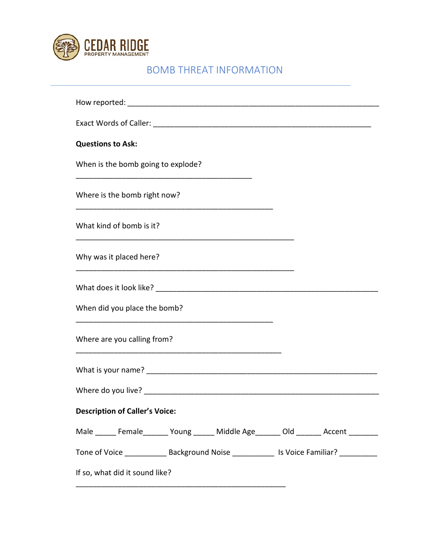

# BOMB THREAT INFORMATION

| <b>Questions to Ask:</b>                                                                     |
|----------------------------------------------------------------------------------------------|
| When is the bomb going to explode?                                                           |
| Where is the bomb right now?                                                                 |
| What kind of bomb is it?                                                                     |
| Why was it placed here?                                                                      |
|                                                                                              |
| When did you place the bomb?                                                                 |
| Where are you calling from?                                                                  |
|                                                                                              |
|                                                                                              |
| <b>Description of Caller's Voice:</b>                                                        |
| Male ______ Female_______ Young ______ Middle Age_______ Old _______ Accent ________         |
| Tone of Voice _______________ Background Noise ______________ Is Voice Familiar? ___________ |
| If so, what did it sound like?                                                               |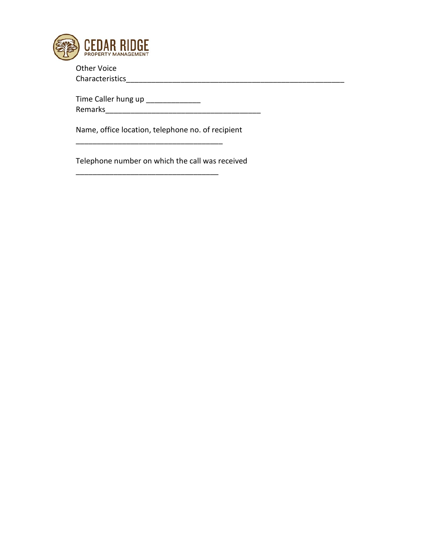

Other Voice Characteristics\_\_\_\_\_\_\_\_\_\_\_\_\_\_\_\_\_\_\_\_\_\_\_\_\_\_\_\_\_\_\_\_\_\_\_\_\_\_\_\_\_\_\_\_\_\_\_\_\_\_\_\_

Time Caller hung up \_\_\_\_\_\_\_\_\_\_\_\_\_\_ Remarks\_\_\_\_\_\_\_\_\_\_\_\_\_\_\_\_\_\_\_\_\_\_\_\_\_\_\_\_\_\_\_\_\_\_\_\_\_

Name, office location, telephone no. of recipient

Telephone number on which the call was received

\_\_\_\_\_\_\_\_\_\_\_\_\_\_\_\_\_\_\_\_\_\_\_\_\_\_\_\_\_\_\_\_\_\_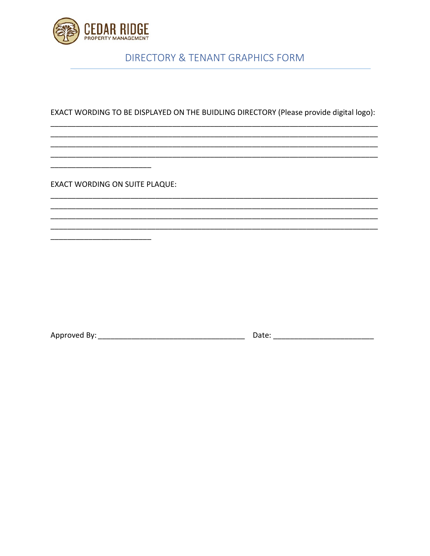

## **DIRECTORY & TENANT GRAPHICS FORM**

EXACT WORDING TO BE DISPLAYED ON THE BUIDLING DIRECTORY (Please provide digital logo):

**EXACT WORDING ON SUITE PLAQUE:**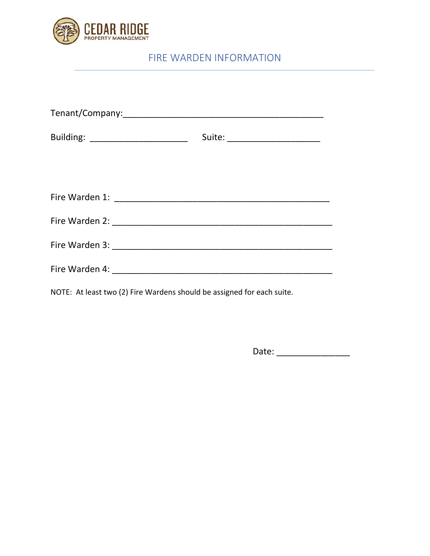

# FIRE WARDEN INFORMATION

| Building: ________________________                                     | Suite: _______________________ |
|------------------------------------------------------------------------|--------------------------------|
|                                                                        |                                |
|                                                                        |                                |
|                                                                        |                                |
|                                                                        |                                |
|                                                                        |                                |
|                                                                        |                                |
| NOTE: At least two (2) Fire Wardens should be assigned for each suite. |                                |

Date: \_\_\_\_\_\_\_\_\_\_\_\_\_\_\_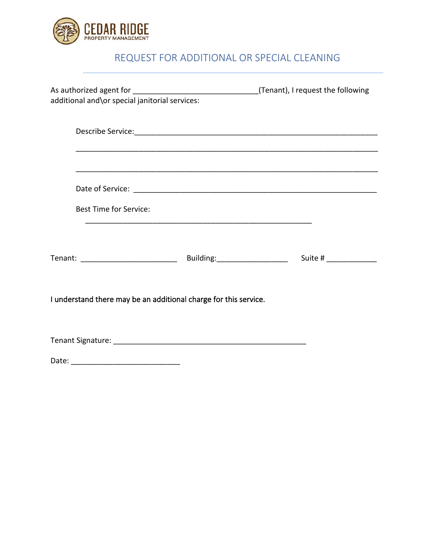

# REQUEST FOR ADDITIONAL OR SPECIAL CLEANING

| additional and\or special janitorial services:                   |  |
|------------------------------------------------------------------|--|
|                                                                  |  |
|                                                                  |  |
|                                                                  |  |
| <b>Best Time for Service:</b>                                    |  |
|                                                                  |  |
| I understand there may be an additional charge for this service. |  |
|                                                                  |  |
|                                                                  |  |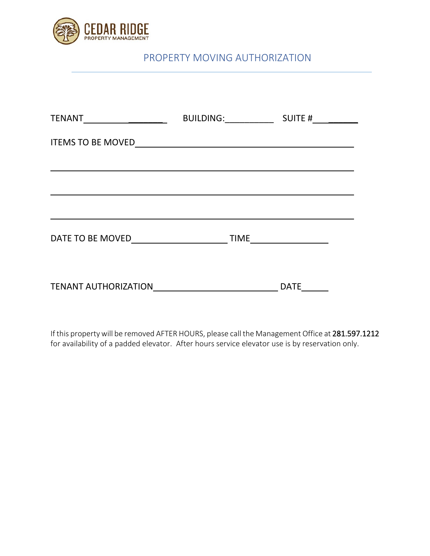

## PROPERTY MOVING AUTHORIZATION

|                                          | BUILDING: SUITE # |                                         |
|------------------------------------------|-------------------|-----------------------------------------|
| <b>ITEMS TO BE MOVED</b>                 |                   |                                         |
|                                          |                   |                                         |
|                                          |                   |                                         |
|                                          |                   |                                         |
| DATE TO BE MOVED <b>DATE TO BE MOVED</b> | <b>TIME</b>       | <u> 1990 - Johann Barbara, martin a</u> |
| TENANT AUTHORIZATION                     |                   | <b>DATE</b>                             |

If this property will be removed AFTER HOURS, please call the Management Office at 281.597.1212 for availability of a padded elevator. After hours service elevator use is by reservation only.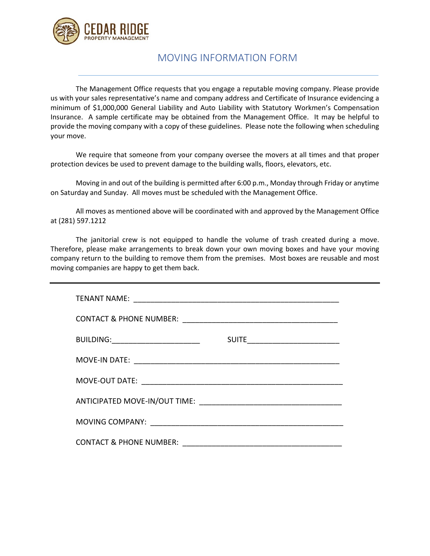

### MOVING INFORMATION FORM

The Management Office requests that you engage a reputable moving company. Please provide us with your sales representative's name and company address and Certificate of Insurance evidencing a minimum of \$1,000,000 General Liability and Auto Liability with Statutory Workmen's Compensation Insurance. A sample certificate may be obtained from the Management Office. It may be helpful to provide the moving company with a copy of these guidelines. Please note the following when scheduling your move.

We require that someone from your company oversee the movers at all times and that proper protection devices be used to prevent damage to the building walls, floors, elevators, etc.

Moving in and out of the building is permitted after 6:00 p.m., Monday through Friday or anytime on Saturday and Sunday. All moves must be scheduled with the Management Office.

All moves as mentioned above will be coordinated with and approved by the Management Office at (281) 597.1212

The janitorial crew is not equipped to handle the volume of trash created during a move. Therefore, please make arrangements to break down your own moving boxes and have your moving company return to the building to remove them from the premises. Most boxes are reusable and most moving companies are happy to get them back.

| BUILDING: _______________________  |  |
|------------------------------------|--|
| MOVE-IN DATE:                      |  |
|                                    |  |
|                                    |  |
|                                    |  |
| <b>CONTACT &amp; PHONE NUMBER:</b> |  |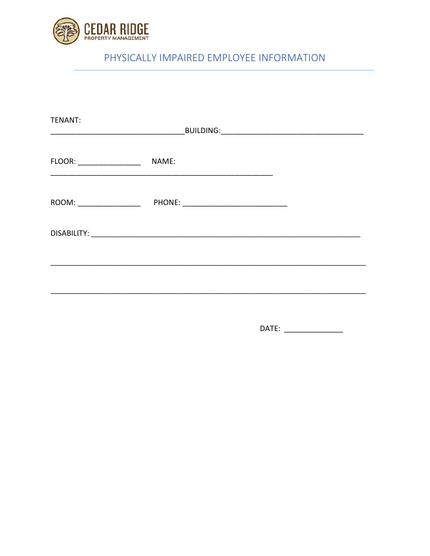

# PHYSICALLY IMPAIRED EMPLOYEE INFORMATION

| TENANT:                                                                                                                                                                                                                                                                                                                                                                 |                                                                                  |  |
|-------------------------------------------------------------------------------------------------------------------------------------------------------------------------------------------------------------------------------------------------------------------------------------------------------------------------------------------------------------------------|----------------------------------------------------------------------------------|--|
| FLOOR: __________________                                                                                                                                                                                                                                                                                                                                               | NAME:                                                                            |  |
| $\begin{picture}(180,10) \put(0,0){\dashbox{0.5}(10,0){ }} \put(10,0){\dashbox{0.5}(10,0){ }} \put(10,0){\dashbox{0.5}(10,0){ }} \put(10,0){\dashbox{0.5}(10,0){ }} \put(10,0){\dashbox{0.5}(10,0){ }} \put(10,0){\dashbox{0.5}(10,0){ }} \put(10,0){\dashbox{0.5}(10,0){ }} \put(10,0){\dashbox{0.5}(10,0){ }} \put(10,0){\dashbox{0.5}(10,0){ }} \put(10,0){\dashbox$ |                                                                                  |  |
|                                                                                                                                                                                                                                                                                                                                                                         |                                                                                  |  |
|                                                                                                                                                                                                                                                                                                                                                                         | ,我们也不能在这里,我们也不能在这里,我们也不能会在这里,我们也不能会在这里,我们也不能会不能会不能会不能会。""我们,我们也不能会不能会不能会不能会不能会不能 |  |
|                                                                                                                                                                                                                                                                                                                                                                         |                                                                                  |  |

DATE: \_\_\_\_\_\_\_\_\_\_\_\_\_\_\_\_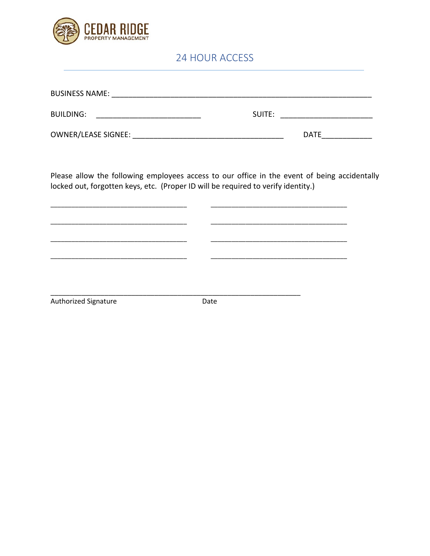

## 24 HOUR ACCESS

| <b>BUSINESS NAME:</b> |             |
|-----------------------|-------------|
|                       |             |
| <b>BUILDING:</b>      | SUITE:      |
|                       |             |
| OWNER/LEASE SIGNEE:   | <b>DATE</b> |

Please allow the following employees access to our office in the event of being accidentally locked out, forgotten keys, etc. (Proper ID will be required to verify identity.)

Authorized Signature

Date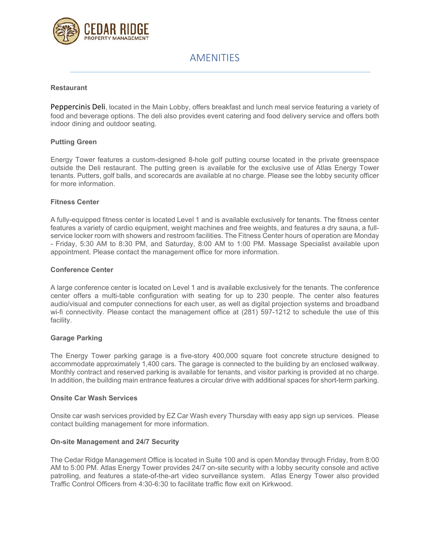

### AMENITIES

#### **Restaurant**

Peppercinis Deli, located in the Main Lobby, offers breakfast and lunch meal service featuring a variety of food and beverage options. The deli also provides event catering and food delivery service and offers both indoor dining and outdoor seating.

#### **Putting Green**

Energy Tower features a custom-designed 8-hole golf putting course located in the private greenspace outside the Deli restaurant. The putting green is available for the exclusive use of Atlas Energy Tower tenants. Putters, golf balls, and scorecards are available at no charge. Please see the lobby security officer for more information.

#### **Fitness Center**

A fully-equipped fitness center is located Level 1 and is available exclusively for tenants. The fitness center features a variety of cardio equipment, weight machines and free weights, and features a dry sauna, a fullservice locker room with showers and restroom facilities. The Fitness Center hours of operation are Monday - Friday, 5:30 AM to 8:30 PM, and Saturday, 8:00 AM to 1:00 PM. Massage Specialist available upon appointment. Please contact the management office for more information.

#### **Conference Center**

A large conference center is located on Level 1 and is available exclusively for the tenants. The conference center offers a multi-table configuration with seating for up to 230 people. The center also features audio/visual and computer connections for each user, as well as digital projection systems and broadband wi-fi connectivity. Please contact the management office at (281) 597-1212 to schedule the use of this facility.

#### **Garage Parking**

The Energy Tower parking garage is a five-story 400,000 square foot concrete structure designed to accommodate approximately 1,400 cars. The garage is connected to the building by an enclosed walkway. Monthly contract and reserved parking is available for tenants, and visitor parking is provided at no charge. In addition, the building main entrance features a circular drive with additional spaces for short-term parking.

#### **Onsite Car Wash Services**

Onsite car wash services provided by EZ Car Wash every Thursday with easy app sign up services. Please contact building management for more information.

#### **On-site Management and 24/7 Security**

The Cedar Ridge Management Office is located in Suite 100 and is open Monday through Friday, from 8:00 AM to 5:00 PM. Atlas Energy Tower provides 24/7 on-site security with a lobby security console and active patrolling, and features a state-of-the-art video surveillance system. Atlas Energy Tower also provided Traffic Control Officers from 4:30-6:30 to facilitate traffic flow exit on Kirkwood.